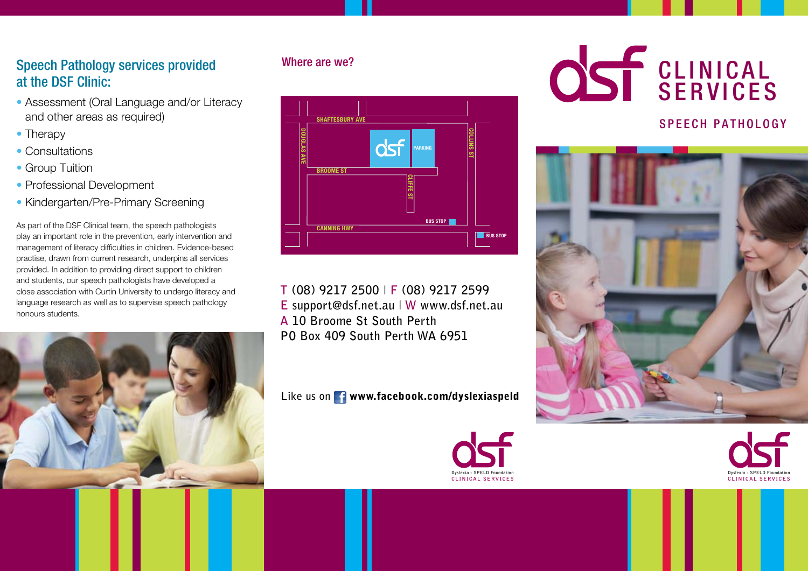# Speech Pathology services provided at the DSF Clinic:

- Assessment (Oral Language and/or Literacy and other areas as required)
- Therapy
- Consultations
- Group Tuition
- Professional Development
- Kindergarten/Pre-Primary Screening

As part of the DSF Clinical team, the speech pathologists play an important role in the prevention, early intervention and management of literacy difficulties in children. Evidence-based practise, drawn from current research, underpins all services provided. In addition to providing direct support to children and students, our speech pathologists have developed a close association with Curtin University to undergo literacy and language research as well as to supervise speech pathology honours students.



## Where are we?



**T (08) 9217 2500 l F (08) 9217 2599 E support@dsf.net.au l W www.dsf.net.au A 10 Broome St South Perth PO Box 409 South Perth WA 6951**

Like us on **T** www.facebook.com/dyslexiaspeld



# **CLINICAL** SERVICES

# SPEECH PATHOLOGY



**Dyslexia - SPELD Foundation CLINICAL SERVICES**